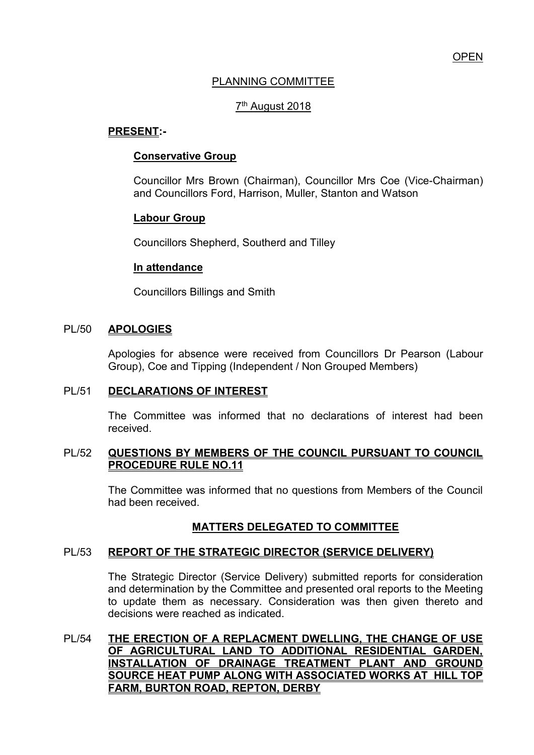# PLANNING COMMITTEE

# <u>7<sup>th</sup> August 2018</u>

## **PRESENT:-**

## **Conservative Group**

Councillor Mrs Brown (Chairman), Councillor Mrs Coe (Vice-Chairman) and Councillors Ford, Harrison, Muller, Stanton and Watson

## **Labour Group**

Councillors Shepherd, Southerd and Tilley

## **In attendance**

Councillors Billings and Smith

## PL/50 **APOLOGIES**

Apologies for absence were received from Councillors Dr Pearson (Labour Group), Coe and Tipping (Independent / Non Grouped Members)

## PL/51 **DECLARATIONS OF INTEREST**

 The Committee was informed that no declarations of interest had been received.

## PL/52 **QUESTIONS BY MEMBERS OF THE COUNCIL PURSUANT TO COUNCIL PROCEDURE RULE NO.11**

 The Committee was informed that no questions from Members of the Council had been received.

# **MATTERS DELEGATED TO COMMITTEE**

# PL/53 **REPORT OF THE STRATEGIC DIRECTOR (SERVICE DELIVERY)**

The Strategic Director (Service Delivery) submitted reports for consideration and determination by the Committee and presented oral reports to the Meeting to update them as necessary. Consideration was then given thereto and decisions were reached as indicated.

PL/54 **THE ERECTION OF A REPLACMENT DWELLING, THE CHANGE OF USE OF AGRICULTURAL LAND TO ADDITIONAL RESIDENTIAL GARDEN, INSTALLATION OF DRAINAGE TREATMENT PLANT AND GROUND SOURCE HEAT PUMP ALONG WITH ASSOCIATED WORKS AT HILL TOP FARM, BURTON ROAD, REPTON, DERBY**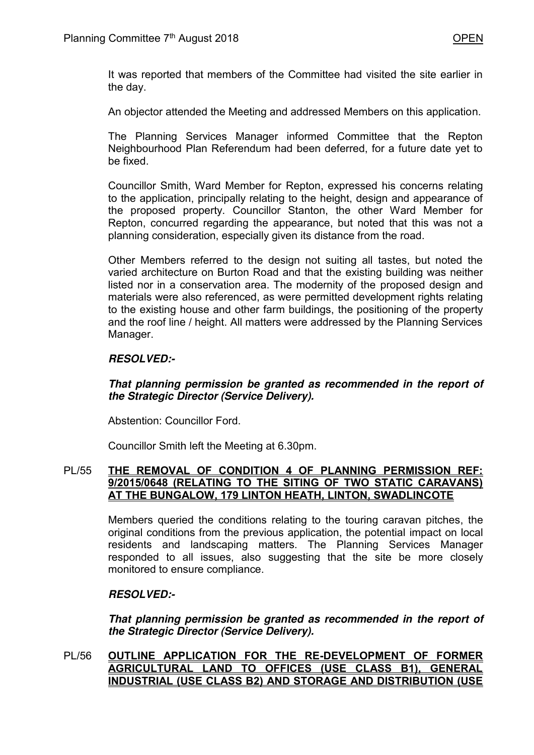It was reported that members of the Committee had visited the site earlier in the day.

An objector attended the Meeting and addressed Members on this application.

 The Planning Services Manager informed Committee that the Repton Neighbourhood Plan Referendum had been deferred, for a future date yet to be fixed.

Councillor Smith, Ward Member for Repton, expressed his concerns relating to the application, principally relating to the height, design and appearance of the proposed property. Councillor Stanton, the other Ward Member for Repton, concurred regarding the appearance, but noted that this was not a planning consideration, especially given its distance from the road.

Other Members referred to the design not suiting all tastes, but noted the varied architecture on Burton Road and that the existing building was neither listed nor in a conservation area. The modernity of the proposed design and materials were also referenced, as were permitted development rights relating to the existing house and other farm buildings, the positioning of the property and the roof line / height. All matters were addressed by the Planning Services Manager.

# *RESOLVED:-*

## *That planning permission be granted as recommended in the report of the Strategic Director (Service Delivery).*

Abstention: Councillor Ford.

Councillor Smith left the Meeting at 6.30pm.

## PL/55 **THE REMOVAL OF CONDITION 4 OF PLANNING PERMISSION REF: 9/2015/0648 (RELATING TO THE SITING OF TWO STATIC CARAVANS) AT THE BUNGALOW, 179 LINTON HEATH, LINTON, SWADLINCOTE**

 Members queried the conditions relating to the touring caravan pitches, the original conditions from the previous application, the potential impact on local residents and landscaping matters. The Planning Services Manager responded to all issues, also suggesting that the site be more closely monitored to ensure compliance.

## *RESOLVED:-*

*That planning permission be granted as recommended in the report of the Strategic Director (Service Delivery).* 

PL/56 **OUTLINE APPLICATION FOR THE RE-DEVELOPMENT OF FORMER AGRICULTURAL LAND TO OFFICES (USE CLASS B1), GENERAL INDUSTRIAL (USE CLASS B2) AND STORAGE AND DISTRIBUTION (USE**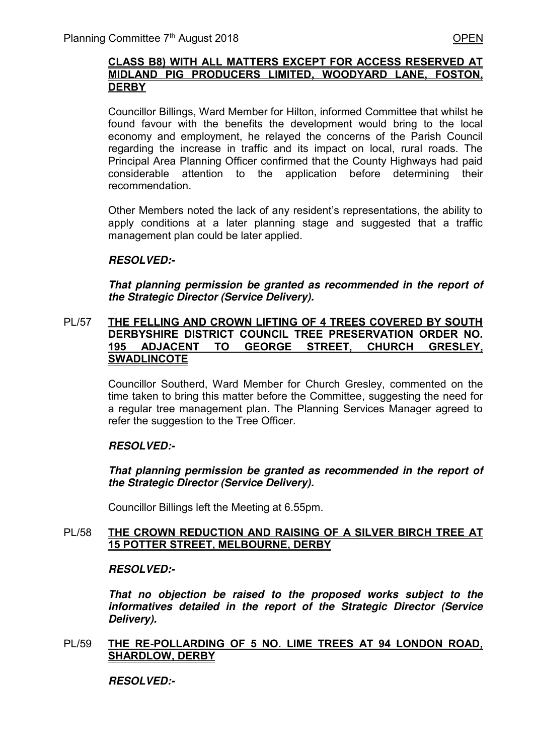#### **CLASS B8) WITH ALL MATTERS EXCEPT FOR ACCESS RESERVED AT MIDLAND PIG PRODUCERS LIMITED, WOODYARD LANE, FOSTON, DERBY**

Councillor Billings, Ward Member for Hilton, informed Committee that whilst he found favour with the benefits the development would bring to the local economy and employment, he relayed the concerns of the Parish Council regarding the increase in traffic and its impact on local, rural roads. The Principal Area Planning Officer confirmed that the County Highways had paid considerable attention to the application before determining their recommendation.

Other Members noted the lack of any resident's representations, the ability to apply conditions at a later planning stage and suggested that a traffic management plan could be later applied.

## *RESOLVED:-*

*That planning permission be granted as recommended in the report of the Strategic Director (Service Delivery).* 

#### PL/57 **THE FELLING AND CROWN LIFTING OF 4 TREES COVERED BY SOUTH DERBYSHIRE DISTRICT COUNCIL TREE PRESERVATION ORDER NO. 195 ADJACENT TO GEORGE STREET, CHURCH GRESLEY, SWADLINCOTE**

Councillor Southerd, Ward Member for Church Gresley, commented on the time taken to bring this matter before the Committee, suggesting the need for a regular tree management plan. The Planning Services Manager agreed to refer the suggestion to the Tree Officer.

# *RESOLVED:-*

*That planning permission be granted as recommended in the report of the Strategic Director (Service Delivery).* 

Councillor Billings left the Meeting at 6.55pm.

## PL/58 **THE CROWN REDUCTION AND RAISING OF A SILVER BIRCH TREE AT 15 POTTER STREET, MELBOURNE, DERBY**

## *RESOLVED:-*

*That no objection be raised to the proposed works subject to the informatives detailed in the report of the Strategic Director (Service Delivery).* 

## PL/59 **THE RE-POLLARDING OF 5 NO. LIME TREES AT 94 LONDON ROAD, SHARDLOW, DERBY**

 *RESOLVED:-*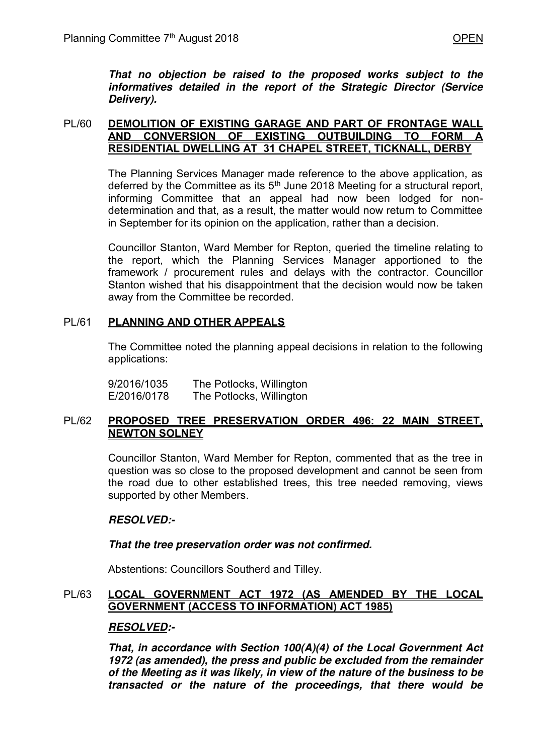*That no objection be raised to the proposed works subject to the informatives detailed in the report of the Strategic Director (Service Delivery).* 

## PL/60 **DEMOLITION OF EXISTING GARAGE AND PART OF FRONTAGE WALL AND CONVERSION OF EXISTING OUTBUILDING TO FORM A RESIDENTIAL DWELLING AT 31 CHAPEL STREET, TICKNALL, DERBY**

 The Planning Services Manager made reference to the above application, as deferred by the Committee as its  $5<sup>th</sup>$  June 2018 Meeting for a structural report, informing Committee that an appeal had now been lodged for nondetermination and that, as a result, the matter would now return to Committee in September for its opinion on the application, rather than a decision.

 Councillor Stanton, Ward Member for Repton, queried the timeline relating to the report, which the Planning Services Manager apportioned to the framework / procurement rules and delays with the contractor. Councillor Stanton wished that his disappointment that the decision would now be taken away from the Committee be recorded.

# PL/61 **PLANNING AND OTHER APPEALS**

 The Committee noted the planning appeal decisions in relation to the following applications:

9/2016/1035 The Potlocks, Willington E/2016/0178 The Potlocks, Willington

## PL/62 **PROPOSED TREE PRESERVATION ORDER 496: 22 MAIN STREET, NEWTON SOLNEY**

Councillor Stanton, Ward Member for Repton, commented that as the tree in question was so close to the proposed development and cannot be seen from the road due to other established trees, this tree needed removing, views supported by other Members.

# *RESOLVED:-*

## *That the tree preservation order was not confirmed.*

Abstentions: Councillors Southerd and Tilley.

## PL/63 **LOCAL GOVERNMENT ACT 1972 (AS AMENDED BY THE LOCAL GOVERNMENT (ACCESS TO INFORMATION) ACT 1985)**

## *RESOLVED:-*

*That, in accordance with Section 100(A)(4) of the Local Government Act 1972 (as amended), the press and public be excluded from the remainder of the Meeting as it was likely, in view of the nature of the business to be transacted or the nature of the proceedings, that there would be*